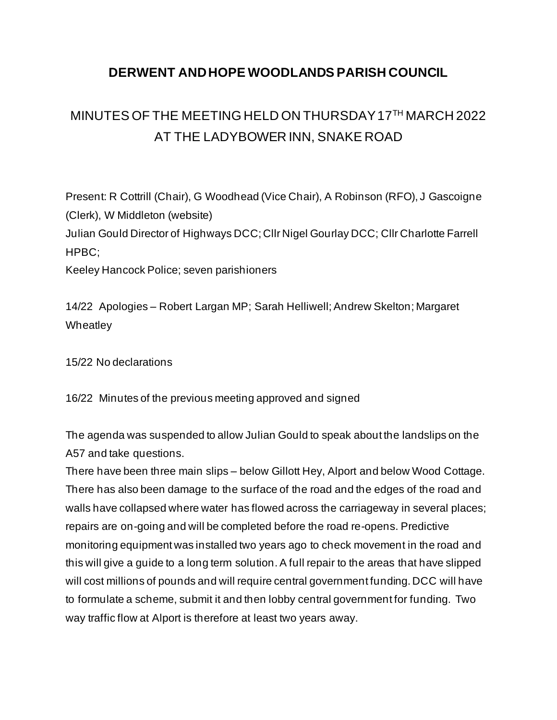## **DERWENT AND HOPE WOODLANDS PARISH COUNCIL**

## MINUTES OF THE MEETING HELD ON THURSDAY 17TH MARCH 2022 AT THE LADYBOWER INN, SNAKE ROAD

Present: R Cottrill (Chair), G Woodhead (Vice Chair), A Robinson (RFO), J Gascoigne (Clerk), W Middleton (website) Julian Gould Director of Highways DCC; Cllr Nigel Gourlay DCC; Cllr Charlotte Farrell HPBC;

Keeley Hancock Police; seven parishioners

14/22 Apologies – Robert Largan MP; Sarah Helliwell; Andrew Skelton; Margaret **Wheatley** 

15/22 No declarations

16/22 Minutes of the previous meeting approved and signed

The agenda was suspended to allow Julian Gould to speak about the landslips on the A57 and take questions.

There have been three main slips – below Gillott Hey, Alport and below Wood Cottage. There has also been damage to the surface of the road and the edges of the road and walls have collapsed where water has flowed across the carriageway in several places; repairs are on-going and will be completed before the road re-opens. Predictive monitoring equipment was installed two years ago to check movement in the road and this will give a guide to a long term solution. A full repair to the areas that have slipped will cost millions of pounds and will require central government funding. DCC will have to formulate a scheme, submit it and then lobby central government for funding. Two way traffic flow at Alport is therefore at least two years away.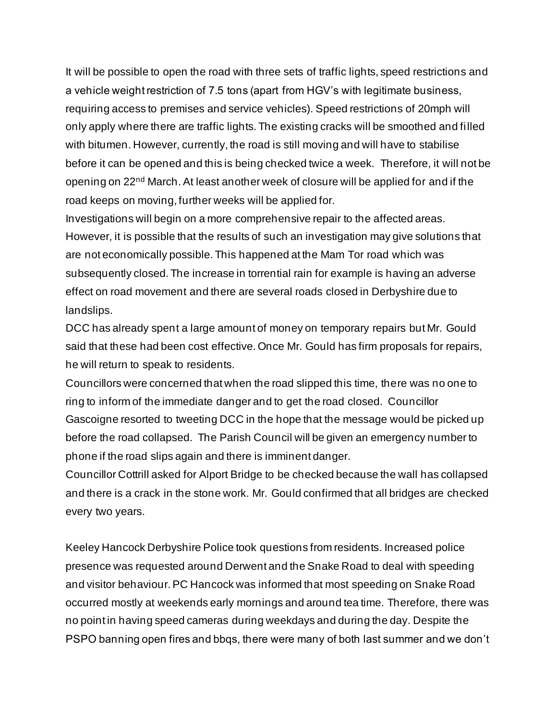It will be possible to open the road with three sets of traffic lights, speed restrictions and a vehicle weight restriction of 7.5 tons (apart from HGV's with legitimate business, requiring access to premises and service vehicles). Speed restrictions of 20mph will only apply where there are traffic lights. The existing cracks will be smoothed and filled with bitumen. However, currently, the road is still moving and will have to stabilise before it can be opened and this is being checked twice a week. Therefore, it will not be opening on 22nd March. At least another week of closure will be applied for and if the road keeps on moving, further weeks will be applied for.

Investigations will begin on a more comprehensive repair to the affected areas. However, it is possible that the results of such an investigation may give solutions that are not economically possible. This happened at the Mam Tor road which was subsequently closed. The increase in torrential rain for example is having an adverse effect on road movement and there are several roads closed in Derbyshire due to landslips.

DCC has already spent a large amount of money on temporary repairs but Mr. Gould said that these had been cost effective. Once Mr. Gould has firm proposals for repairs, he will return to speak to residents.

Councillors were concerned that when the road slipped this time, there was no one to ring to inform of the immediate danger and to get the road closed. Councillor Gascoigne resorted to tweeting DCC in the hope that the message would be picked up before the road collapsed. The Parish Council will be given an emergency number to phone if the road slips again and there is imminent danger.

Councillor Cottrill asked for Alport Bridge to be checked because the wall has collapsed and there is a crack in the stone work. Mr. Gould confirmed that all bridges are checked every two years.

Keeley Hancock Derbyshire Police took questions from residents. Increased police presence was requested around Derwent and the Snake Road to deal with speeding and visitor behaviour. PC Hancock was informed that most speeding on Snake Road occurred mostly at weekends early mornings and around tea time. Therefore, there was no point in having speed cameras during weekdays and during the day. Despite the PSPO banning open fires and bbqs, there were many of both last summer and we don't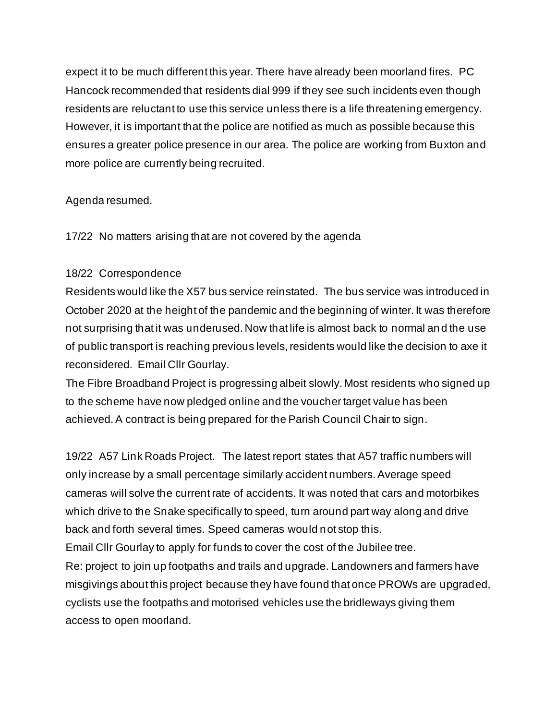expect it to be much different this year. There have already been moorland fires. PC Hancock recommended that residents dial 999 if they see such incidents even though residents are reluctant to use this service unless there is a life threatening emergency. However, it is important that the police are notified as much as possible because this ensures a greater police presence in our area. The police are working from Buxton and more police are currently being recruited.

## Agenda resumed.

17/22 No matters arising that are not covered by the agenda

## 18/22 Correspondence

Residents would like the X57 bus service reinstated. The bus service was introduced in October 2020 at the height of the pandemic and the beginning of winter. It was therefore not surprising that it was underused. Now that life is almost back to normal an d the use of public transport is reaching previous levels, residents would like the decision to axe it reconsidered. Email Cllr Gourlay.

The Fibre Broadband Project is progressing albeit slowly. Most residents who signed up to the scheme have now pledged online and the voucher target value has been achieved. A contract is being prepared for the Parish Council Chair to sign.

19/22 A57 Link Roads Project. The latest report states that A57 traffic numbers will only increase by a small percentage similarly accident numbers. Average speed cameras will solve the current rate of accidents. It was noted that cars and motorbikes which drive to the Snake specifically to speed, turn around part way along and drive back and forth several times. Speed cameras would not stop this.

Email Cllr Gourlay to apply for funds to cover the cost of the Jubilee tree.

Re: project to join up footpaths and trails and upgrade. Landowners and farmers have misgivings about this project because they have found that once PROWs are upgraded, cyclists use the footpaths and motorised vehicles use the bridleways giving them access to open moorland.